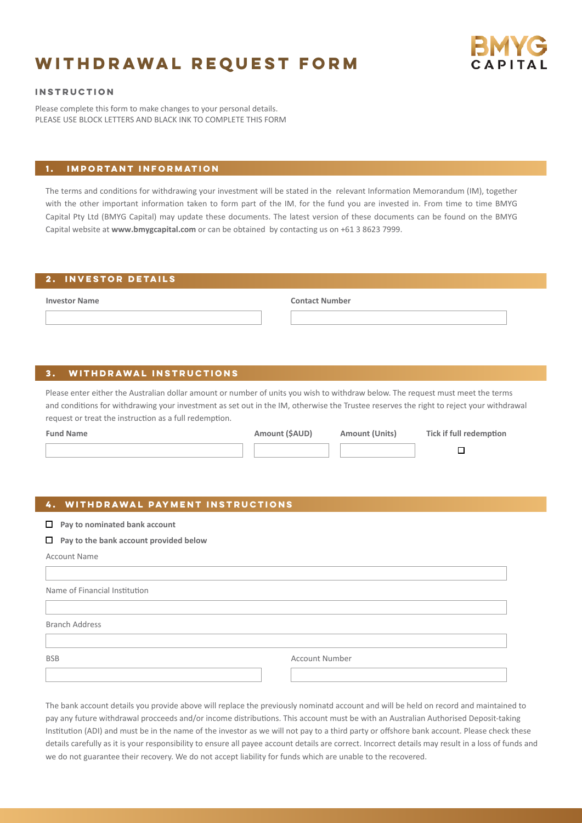# **Withdrawal request form**



#### **Instruction**

Please complete this form to make changes to your personal details. PLEASE USE BLOCK LETTERS AND BLACK INK TO COMPLETE THIS FORM

## **1. Important information**

The terms and conditions for withdrawing your investment will be stated in the relevant Information Memorandum (IM), together with the other important information taken to form part of the IM, for the fund you are invested in. From time to time BMYG Capital Pty Ltd (BMYG Capital) may update these documents. The latest version of these documents can be found on the BMYG Capital website at **www.bmygcapital.com** or can be obtained by contacting us on +61 3 8623 7999.

#### **2. investor details**

**Investor Name**

**Contact Number**

## **3. withdrawal instructions**

Please enter either the Australian dollar amount or number of units you wish to withdraw below. The request must meet the terms and conditions for withdrawing your investment as set out in the IM, otherwise the Trustee reserves the right to reject your withdrawal request or treat the instruction as a full redemption.

| Amount (\$AUD) | <b>Amount (Units)</b> | <b>Tick if full redemption</b> |
|----------------|-----------------------|--------------------------------|
|                |                       |                                |

## **4. withdrawal payment instructions**

- **Pay to nominated bank account**
- **Pay to the bank account provided below**

Account Name

| Name of Financial Institution |                       |
|-------------------------------|-----------------------|
|                               |                       |
| <b>Branch Address</b>         |                       |
|                               |                       |
| <b>BSB</b>                    | <b>Account Number</b> |
|                               |                       |

The bank account details you provide above will replace the previously nominatd account and will be held on record and maintained to pay any future withdrawal procceeds and/or income distributions. This account must be with an Australian Authorised Deposit-taking Institution (ADI) and must be in the name of the investor as we will not pay to a third party or offshore bank account. Please check these details carefully as it is your responsibility to ensure all payee account details are correct. Incorrect details may result in a loss of funds and we do not guarantee their recovery. We do not accept liability for funds which are unable to the recovered.